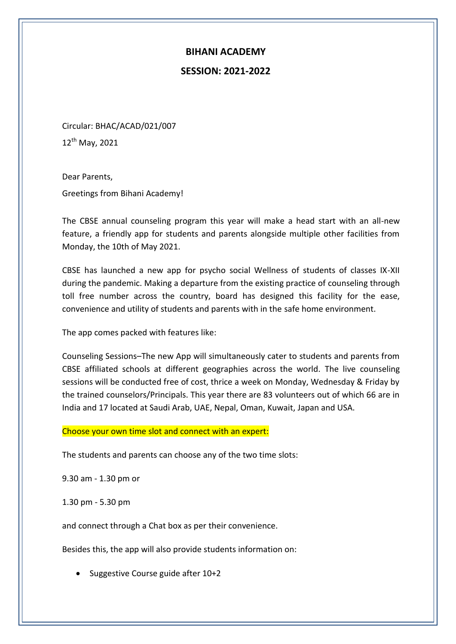## **BIHANI ACADEMY**

## **SESSION: 2021-2022**

Circular: BHAC/ACAD/021/007 12<sup>th</sup> May, 2021

Dear Parents,

Greetings from Bihani Academy!

The CBSE annual counseling program this year will make a head start with an all-new feature, a friendly app for students and parents alongside multiple other facilities from Monday, the 10th of May 2021.

CBSE has launched a new app for psycho social Wellness of students of classes IX-XII during the pandemic. Making a departure from the existing practice of counseling through toll free number across the country, board has designed this facility for the ease, convenience and utility of students and parents with in the safe home environment.

The app comes packed with features like:

Counseling Sessions–The new App will simultaneously cater to students and parents from CBSE affiliated schools at different geographies across the world. The live counseling sessions will be conducted free of cost, thrice a week on Monday, Wednesday & Friday by the trained counselors/Principals. This year there are 83 volunteers out of which 66 are in India and 17 located at Saudi Arab, UAE, Nepal, Oman, Kuwait, Japan and USA.

## Choose your own time slot and connect with an expert:

The students and parents can choose any of the two time slots:

9.30 am - 1.30 pm or

1.30 pm - 5.30 pm

and connect through a Chat box as per their convenience.

Besides this, the app will also provide students information on:

• Suggestive Course guide after 10+2